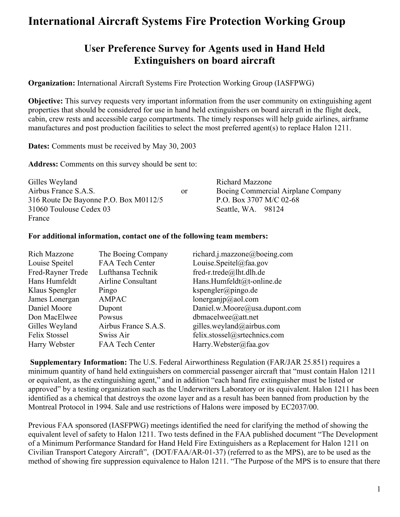### **User Preference Survey for Agents used in Hand Held Extinguishers on board aircraft**

**Organization:** International Aircraft Systems Fire Protection Working Group (IASFPWG)

**Objective:** This survey requests very important information from the user community on extinguishing agent properties that should be considered for use in hand held extinguishers on board aircraft in the flight deck, cabin, crew rests and accessible cargo compartments. The timely responses will help guide airlines, airframe manufactures and post production facilities to select the most preferred agent(s) to replace Halon 1211.

**Dates:** Comments must be received by May 30, 2003

**Address:** Comments on this survey should be sent to:

| Gilles Weyland                        |               | <b>Richard Mazzone</b>             |
|---------------------------------------|---------------|------------------------------------|
| Airbus France S.A.S.                  | <sub>or</sub> | Boeing Commercial Airplane Company |
| 316 Route De Bayonne P.O. Box M0112/5 |               | P.O. Box 3707 M/C 02-68            |
| 31060 Toulouse Cedex 03               |               | Seattle, WA. 98124                 |
| France                                |               |                                    |

#### **For additional information, contact one of the following team members:**

| <b>Rich Mazzone</b> | The Boeing Company     | richard.j.mazzone@boeing.com  |
|---------------------|------------------------|-------------------------------|
| Louise Speitel      | <b>FAA Tech Center</b> | Louise.Speitel@faa.gov        |
| Fred-Rayner Trede   | Lufthansa Technik      | fred-r.trede@lht.dlh.de       |
| Hans Humfeldt       | Airline Consultant     | Hans.Humfeldt@t-online.de     |
| Klaus Spengler      | Pingo                  | kspengler@pingo.de            |
| James Lonergan      | <b>AMPAC</b>           | lonerganj $p$ @aol.com        |
| Daniel Moore        | Dupont                 | Daniel.w.Moore@usa.dupont.com |
| Don MacElwee        | Powsus                 | dbmacelwee@att.net            |
| Gilles Weyland      | Airbus France S.A.S.   | gilles.weyland@airbus.com     |
| Felix Stossel       | Swiss Air              | felix.stossel@srtechnics.com  |
| Harry Webster       | <b>FAA Tech Center</b> | Harry. Webster@faa.gov        |

**Supplementary Information:** The U.S. Federal Airworthiness Regulation (FAR/JAR 25.851) requires a minimum quantity of hand held extinguishers on commercial passenger aircraft that "must contain Halon 1211 or equivalent, as the extinguishing agent," and in addition "each hand fire extinguisher must be listed or approved" by a testing organization such as the Underwriters Laboratory or its equivalent. Halon 1211 has been identified as a chemical that destroys the ozone layer and as a result has been banned from production by the Montreal Protocol in 1994. Sale and use restrictions of Halons were imposed by EC2037/00.

Previous FAA sponsored (IASFPWG) meetings identified the need for clarifying the method of showing the equivalent level of safety to Halon 1211. Two tests defined in the FAA published document "The Development of a Minimum Performance Standard for Hand Held Fire Extinguishers as a Replacement for Halon 1211 on Civilian Transport Category Aircraft", (DOT/FAA/AR-01-37) (referred to as the MPS), are to be used as the method of showing fire suppression equivalence to Halon 1211. "The Purpose of the MPS is to ensure that there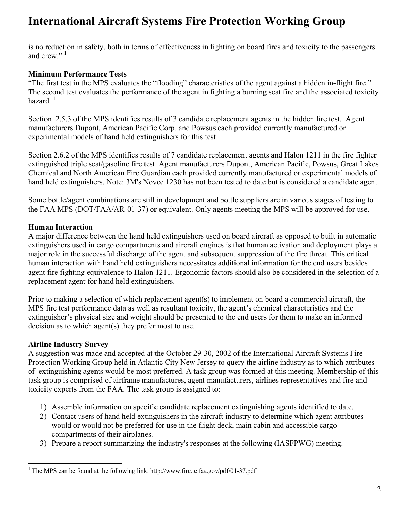is no reduction in safety, both in terms of effectiveness in fighting on board fires and toxicity to the passengers and crew."<sup>1</sup>

#### **Minimum Performance Tests**

"The first test in the MPS evaluates the "flooding" characteristics of the agent against a hidden in-flight fire." The second test evaluates the performance of the agent in fighting a burning seat fire and the associated toxicity hazard. $1$ 

Section 2.5.3 of the MPS identifies results of 3 candidate replacement agents in the hidden fire test. Agent manufacturers Dupont, American Pacific Corp. and Powsus each provided currently manufactured or experimental models of hand held extinguishers for this test.

Section 2.6.2 of the MPS identifies results of 7 candidate replacement agents and Halon 1211 in the fire fighter extinguished triple seat/gasoline fire test. Agent manufacturers Dupont, American Pacific, Powsus, Great Lakes Chemical and North American Fire Guardian each provided currently manufactured or experimental models of hand held extinguishers. Note: 3M's Novec 1230 has not been tested to date but is considered a candidate agent.

Some bottle/agent combinations are still in development and bottle suppliers are in various stages of testing to the FAA MPS (DOT/FAA/AR-01-37) or equivalent. Only agents meeting the MPS will be approved for use.

#### **Human Interaction**

A major difference between the hand held extinguishers used on board aircraft as opposed to built in automatic extinguishers used in cargo compartments and aircraft engines is that human activation and deployment plays a major role in the successful discharge of the agent and subsequent suppression of the fire threat. This critical human interaction with hand held extinguishers necessitates additional information for the end users besides agent fire fighting equivalence to Halon 1211. Ergonomic factors should also be considered in the selection of a replacement agent for hand held extinguishers.

Prior to making a selection of which replacement agent(s) to implement on board a commercial aircraft, the MPS fire test performance data as well as resultant toxicity, the agent's chemical characteristics and the extinguisher's physical size and weight should be presented to the end users for them to make an informed decision as to which agent(s) they prefer most to use.

#### **Airline Industry Survey**

A suggestion was made and accepted at the October 29-30, 2002 of the International Aircraft Systems Fire Protection Working Group held in Atlantic City New Jersey to query the airline industry as to which attributes of extinguishing agents would be most preferred. A task group was formed at this meeting. Membership of this task group is comprised of airframe manufactures, agent manufacturers, airlines representatives and fire and toxicity experts from the FAA. The task group is assigned to:

- 1) Assemble information on specific candidate replacement extinguishing agents identified to date.
- 2) Contact users of hand held extinguishers in the aircraft industry to determine which agent attributes would or would not be preferred for use in the flight deck, main cabin and accessible cargo compartments of their airplanes.
- 3) Prepare a report summarizing the industry's responses at the following (IASFPWG) meeting.

<span id="page-1-0"></span><sup>&</sup>lt;sup>1</sup> The MPS can be found at the following link. http://www.fire.tc.faa.gov/pdf/01-37.pdf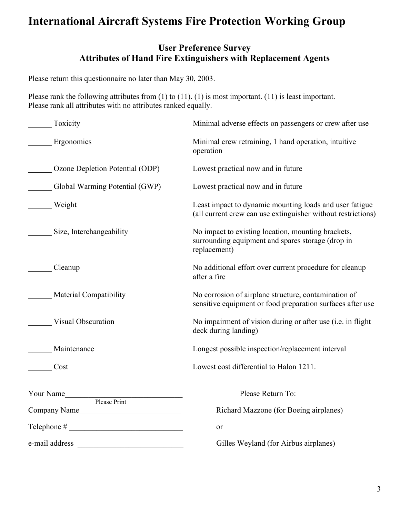### **User Preference Survey Attributes of Hand Fire Extinguishers with Replacement Agents**

Please return this questionnaire no later than May 30, 2003.

Please rank the following attributes from (1) to (11). (1) is <u>most</u> important. (11) is <u>least</u> important. Please rank all attributes with no attributes ranked equally.

| Toxicity                        | Minimal adverse effects on passengers or crew after use                                                                 |  |  |
|---------------------------------|-------------------------------------------------------------------------------------------------------------------------|--|--|
| Ergonomics                      | Minimal crew retraining, 1 hand operation, intuitive<br>operation                                                       |  |  |
| Ozone Depletion Potential (ODP) | Lowest practical now and in future                                                                                      |  |  |
| Global Warming Potential (GWP)  | Lowest practical now and in future                                                                                      |  |  |
| Weight                          | Least impact to dynamic mounting loads and user fatigue<br>(all current crew can use extinguisher without restrictions) |  |  |
| Size, Interchangeability        | No impact to existing location, mounting brackets,<br>surrounding equipment and spares storage (drop in<br>replacement) |  |  |
| Cleanup                         | No additional effort over current procedure for cleanup<br>after a fire                                                 |  |  |
| <b>Material Compatibility</b>   | No corrosion of airplane structure, contamination of<br>sensitive equipment or food preparation surfaces after use      |  |  |
| Visual Obscuration              | No impairment of vision during or after use (i.e. in flight<br>deck during landing)                                     |  |  |
| Maintenance                     | Longest possible inspection/replacement interval                                                                        |  |  |
| Cost                            | Lowest cost differential to Halon 1211.                                                                                 |  |  |
| Your Name<br>Please Print       | Please Return To:                                                                                                       |  |  |
| Company Name                    | Richard Mazzone (for Boeing airplanes)                                                                                  |  |  |
| Telephone #                     | or                                                                                                                      |  |  |
| e-mail address                  | Gilles Weyland (for Airbus airplanes)                                                                                   |  |  |